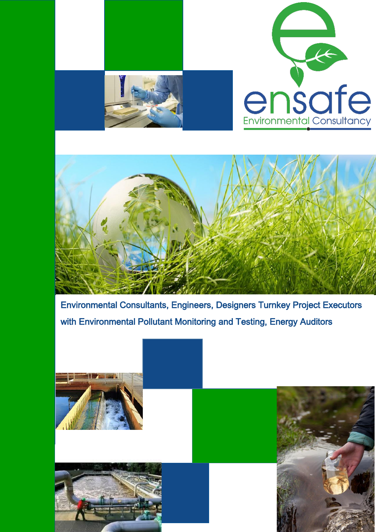

Environmental Consultants, Engineers, Designers Turnkey Project Executors with Environmental Pollutant Monitoring and Testing, Energy Auditors

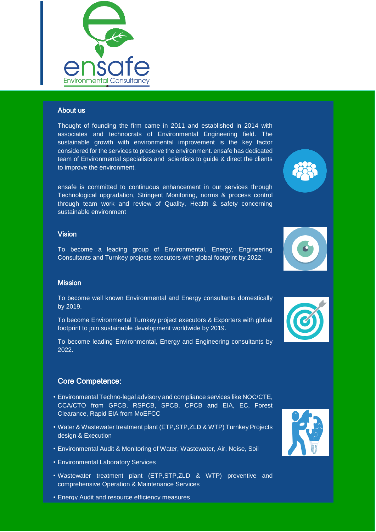

# About us

Thought of founding the firm came in 2011 and established in 2014 with associates and technocrats of Environmental Engineering field. The sustainable growth with environmental improvement is the key factor considered for the services to preserve the environment. ensafe has dedicated team of Environmental specialists and scientists to guide & direct the clients to improve the environment.

ensafe is committed to continuous enhancement in our services through Technological upgradation, Stringent Monitoring, norms & process control through team work and review of Quality, Health & safety concerning sustainable environment

# Vision

To become a leading group of Environmental, Energy, Engineering Consultants and Turnkey projects executors with global footprint by 2022.

# **Mission**

To become well known Environmental and Energy consultants domestically by 2019.

To become Environmental Turnkey project executors & Exporters with global footprint to join sustainable development worldwide by 2019.

To become leading Environmental, Energy and Engineering consultants by 2022.

# Core Competence:

- Environmental Techno-legal advisory and compliance services like NOC/CTE, CCA/CTO from GPCB, RSPCB, SPCB, CPCB and EIA, EC, Forest Clearance, Rapid EIA from MoEFCC
- Water & Wastewater treatment plant (ETP,STP,ZLD & WTP) Turnkey Projects design & Execution
- Environmental Audit & Monitoring of Water, Wastewater, Air, Noise, Soil
- Environmental Laboratory Services
- Wastewater treatment plant (ETP,STP,ZLD & WTP) preventive and comprehensive Operation & Maintenance Services
- Energy Audit and resource efficiency measures







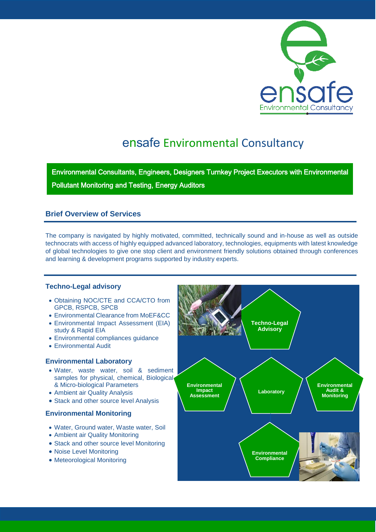

# ensafe Environmental Consultancy

Environmental Consultants, Engineers, Designers Turnkey Project Executors with Environmental Pollutant Monitoring and Testing, Energy Auditors

# **Brief Overview of Services**

The company is navigated by highly motivated, committed, technically sound and in-house as well as outside technocrats with access of highly equipped advanced laboratory, technologies, equipments with latest knowledge of global technologies to give one stop client and environment friendly solutions obtained through conferences and learning & development programs supported by industry experts.

### **Techno-Legal advisory**

- Obtaining NOC/CTE and CCA/CTO from GPCB, RSPCB, SPCB
- Environmental Clearance from MoEF&CC
- Environmental Impact Assessment (EIA) study & Rapid EIA
- Environmental compliances guidance
- Environmental Audit

#### **Environmental Laboratory**

- Water, waste water, soil & sediment samples for physical, chemical, Biological & Micro-biological Parameters
- Ambient air Quality Analysis
- Stack and other source level Analysis

# **Environmental Monitoring**

- Water, Ground water, Waste water, Soil
- Ambient air Quality Monitoring
- Stack and other source level Monitoring
- Noise Level Monitoring
- Meteorological Monitoring